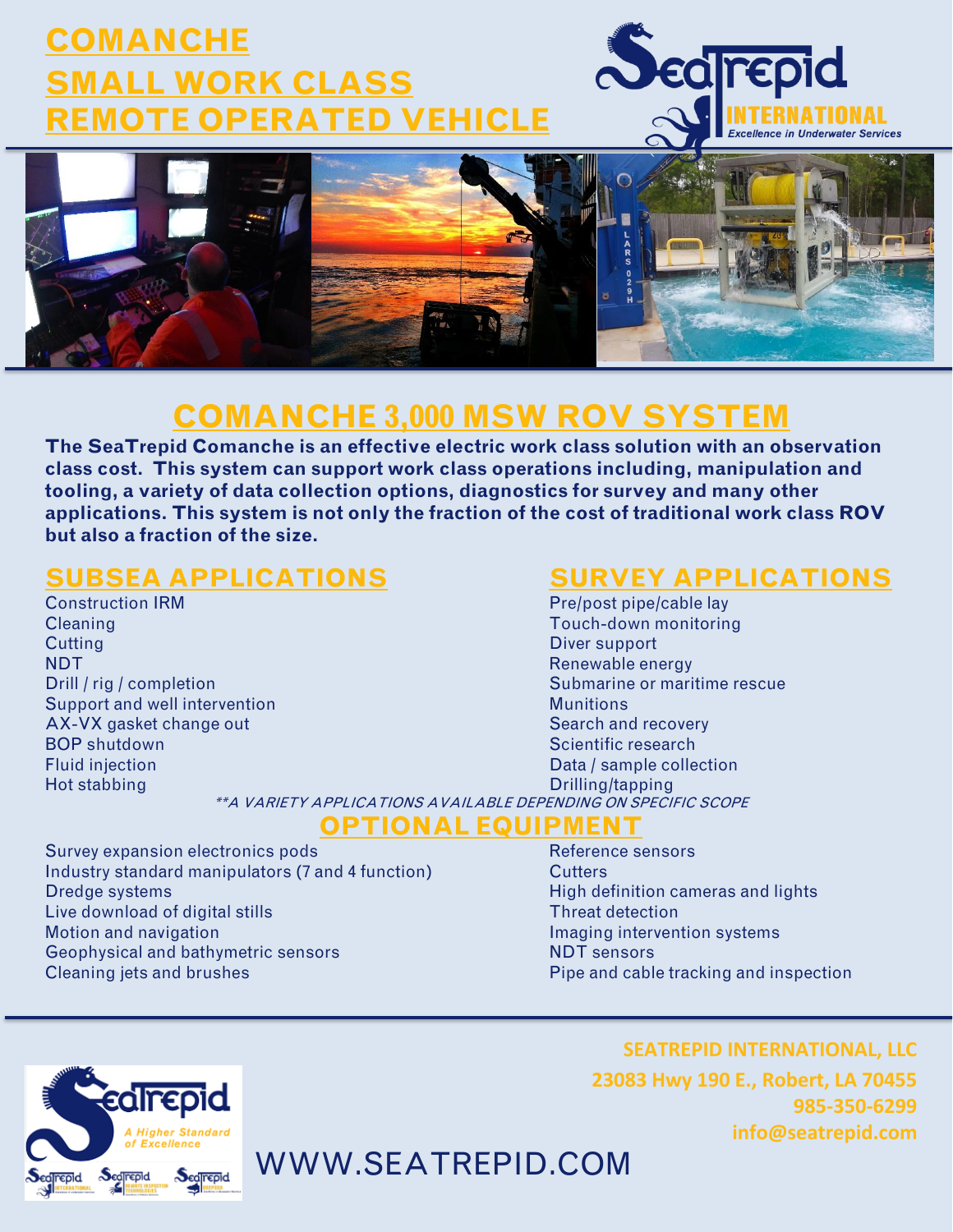# **COMANCHE SMALL WORK CLASS REMOTE OPERATED VEHICLE**





## **COMANCHE 3,000 MSW ROV SYSTEM**

**The SeaTrepid Comanche is an effective electric work class solution with an observation class cost. This system can support work class operations including, manipulation and tooling, a variety of data collection options, diagnostics for survey and many other applications. This system is not only the fraction of the cost of traditional work class ROV but also a fraction of the size.**

#### **SUBSEA APPLICATIONS SURVEY APPLICATIONS**

Cleaning Touch-down monitoring **Cutting Cutting Cutting Cutting Cutting Cutting Cutting Cutting Cutting Cutting Cutting Cutting Cutting Cutting Cutting Cutting Cutting Cutting Cutting Cutting Cutting Cutting Cutting Cutting Cutting Cutting Cutting Cutti** NDT Renewable energy and the contract of the contract of the contract of the contract of the contract of the contract of the contract of the contract of the contract of the contract of the contract of the contract of the c Support and well intervention Munitions and Munitions Munitions AX-VX gasket change out Search and recovery **BOP shutdown** Scientific research **Scientific research** Fluid injection Data / sample collection Hot stabbing **Drilling/tapping** 

Construction IRM **Preference Construction IRM** Pre/post pipe/cable lay Drill / rig / completion Submarine or maritime rescue

\*\*A VARIETY APPLICATIONS AVAILABLE DEPENDING ON SPECIFIC SCOPE **OPTIONAL EQUIPMENT**

Survey expansion electronics pods Reference sensors Industry standard manipulators (7 and 4 function) Cutters Dredge systems High definition cameras and lights Live download of digital stills Threat detection Motion and navigation **Imaging intervention systems** Geophysical and bathymetric sensors NDT sensors NDT sensors Cleaning jets and brushes Pipe and cable tracking and inspection



WWW.SEATREPID.COM

**SEATREPID INTERNATIONAL, LLC 23083 Hwy 190 E., Robert, LA 70455 985-350-6299 info@seatrepid.com**